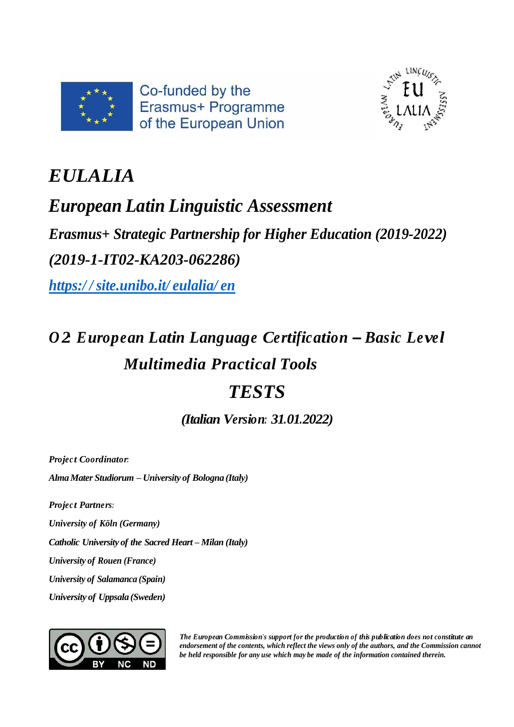



# *EULALIA*

## *European Latin Linguistic Assessment*

*Erasmus+ Strategic Partnership for Higher Education (2019-2022) (2019-1-IT02-KA203-062286)*

*https:/ / [site.unibo.it/](https://site.unibo.it/eulalia/en) eulalia/ en*

# *O 2: European Latin Language Certification – Basic Level Multimedia Practical Tools TESTS*

*(Italian Version: 31.01.2022)*

*Projec t Coordinator:*

*AlmaMater Studiorum – University of Bologna (Italy)*

*Projec t Partners:*

*University of Köln (Germany)*

*Catholic University of the Sacred Heart – Milan (Italy)*

*University of Rouen (France)*

*University of Salamanca (Spain)*

*University of Uppsala (Sweden)*



*The European Commission's support for the production of this publication does not constitute an endorsement of the contents, which reflect the views only of the authors, and the Commission cannot be held responsible for any use which may be made of the information contained therein.*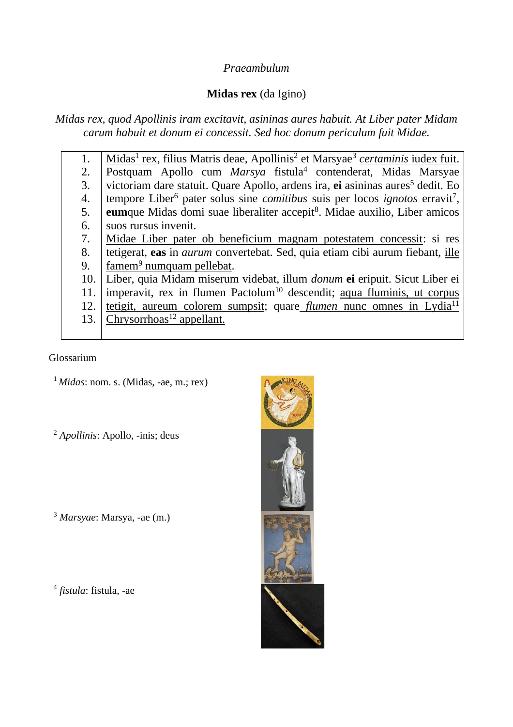## *Praeambulum*

## **Midas rex** (da Igino)

*Midas rex, quod Apollinis iram excitavit, asininas aures habuit. At Liber pater Midam carum habuit et donum ei concessit. Sed hoc donum periculum fuit Midae.*

1. 2. 3. 4. 5. 6. 7. 8. 9. 10. 11. 12. 13. Midas<sup>1</sup> rex, filius Matris deae, Apollinis<sup>2</sup> et Marsyae<sup>3</sup> *certaminis* iudex fuit. Postquam Apollo cum *Marsya* fistula<sup>4</sup> contenderat, Midas Marsyae victoriam dare statuit. Quare Apollo, ardens ira, ei asininas aures<sup>5</sup> dedit. Eo tempore Liber<sup>6</sup> pater solus sine *comitibus* suis per locos *ignotos* erravit<sup>7</sup>, eumque Midas domi suae liberaliter accepit<sup>8</sup>. Midae auxilio, Liber amicos suos rursus invenit. Midae Liber pater ob beneficium magnam potestatem concessit: si res tetigerat, **eas** in *aurum* convertebat. Sed, quia etiam cibi aurum fiebant, ille famem<sup>9</sup> numquam pellebat. Liber, quia Midam miserum videbat, illum *donum* **ei** eripuit. Sicut Liber ei imperavit, rex in flumen Pactolum<sup>10</sup> descendit; aqua fluminis, ut corpus tetigit, aureum colorem sumpsit; quare *flumen* nunc omnes in Lydia<sup>11</sup>  $Chrysorrhoas<sup>12</sup> appellant.$ 

Glossarium

 $<sup>1</sup> Midas: nom. s. (Midas, -ae, m.; rex)$ </sup>

<sup>2</sup> *Apollinis*: Apollo, -inis; deus

<sup>3</sup> *Marsyae*: Marsya, -ae (m.)

4 *fistula*: fistula, -ae

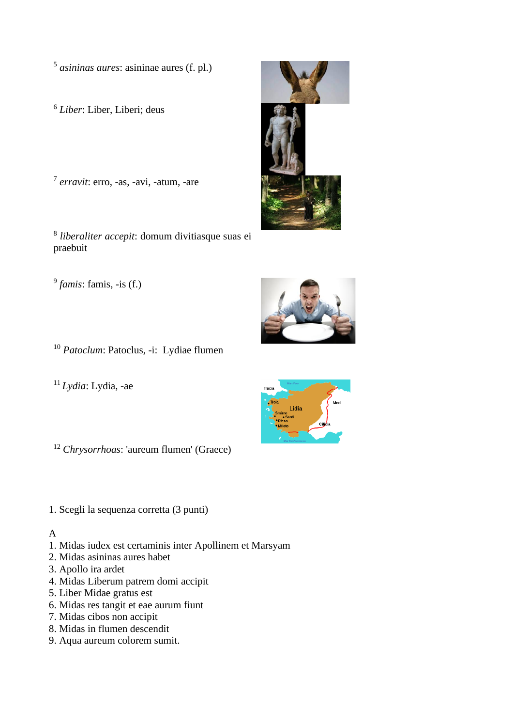5 *asininas aures*: asininae aures (f. pl.)

<sup>6</sup> *Liber*: Liber, Liberi; deus

7 *erravit*: erro, -as, -avi, -atum, -are

8 *liberaliter accepit*: domum divitiasque suas ei praebuit

9 *famis*: famis, -is (f.)

<sup>10</sup> *Patoclum*: Patoclus, -i: Lydiae flumen

<sup>11</sup>*Lydia*: Lydia, -ae

<sup>12</sup> *Chrysorrhoas*: 'aureum flumen' (Graece)

1. Scegli la sequenza corretta (3 punti)

## A

- 1. Midas iudex est certaminis inter Apollinem et Marsyam
- 2. Midas asininas aures habet
- 3. Apollo ira ardet
- 4. Midas Liberum patrem domi accipit
- 5. Liber Midae gratus est
- 6. Midas res tangit et eae aurum fiunt
- 7. Midas cibos non accipit
- 8. Midas in flumen descendit
- 9. Aqua aureum colorem sumit.





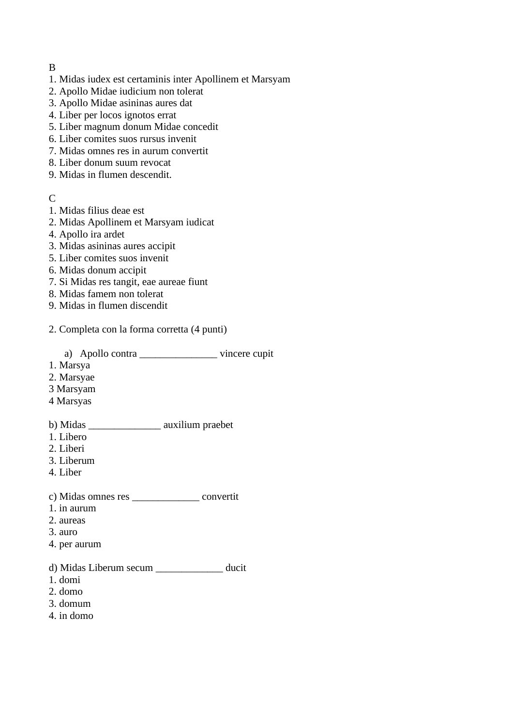#### B

- 1. Midas iudex est certaminis inter Apollinem et Marsyam
- 2. Apollo Midae iudicium non tolerat
- 3. Apollo Midae asininas aures dat
- 4. Liber per locos ignotos errat
- 5. Liber magnum donum Midae concedit
- 6. Liber comites suos rursus invenit
- 7. Midas omnes res in aurum convertit
- 8. Liber donum suum revocat
- 9. Midas in flumen descendit.

## C

- 1. Midas filius deae est
- 2. Midas Apollinem et Marsyam iudicat
- 4. Apollo ira ardet
- 3. Midas asininas aures accipit
- 5. Liber comites suos invenit
- 6. Midas donum accipit
- 7. Si Midas res tangit, eae aureae fiunt
- 8. Midas famem non tolerat
- 9. Midas in flumen discendit

#### 2. Completa con la forma corretta (4 punti)

a) Apollo contra \_\_\_\_\_\_\_\_\_\_\_\_\_\_\_ vincere cupit

- 1. Marsya
- 2. Marsyae
- 3 Marsyam
- 4 Marsyas

#### b) Midas \_\_\_\_\_\_\_\_\_\_\_\_\_\_ auxilium praebet

- 1. Libero
- 2. Liberi
- 3. Liberum
- 4. Liber

### c) Midas omnes res \_\_\_\_\_\_\_\_\_\_\_\_\_ convertit

- 1. in aurum
- 2. aureas
- 3. auro
- 4. per aurum

## d) Midas Liberum secum \_\_\_\_\_\_\_\_\_\_\_\_\_ ducit

- 1. domi
- 2. domo
- 3. domum
- 4. in domo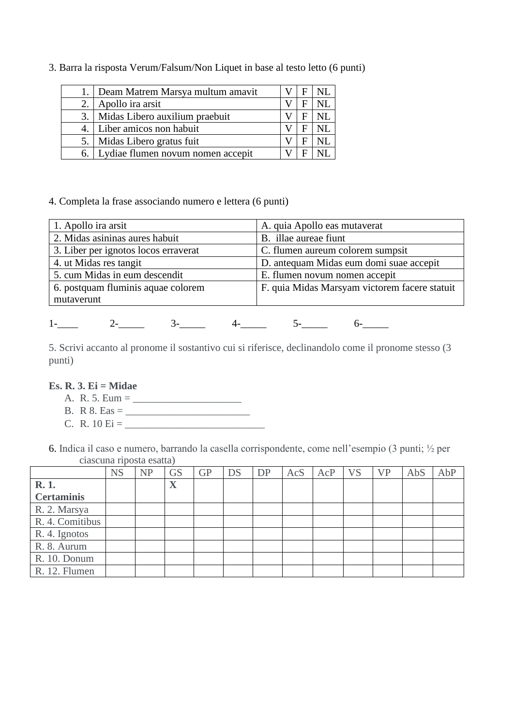3. Barra la risposta Verum/Falsum/Non Liquet in base al testo letto (6 punti)

| Deam Matrem Marsya multum amavit  |  |  |
|-----------------------------------|--|--|
| Apollo ira arsit                  |  |  |
| Midas Libero auxilium praebuit    |  |  |
| 4. Liber amicos non habuit        |  |  |
| Midas Libero gratus fuit          |  |  |
| Lydiae flumen novum nomen accepit |  |  |

#### 4. Completa la frase associando numero e lettera (6 punti)

| 1. Apollo ira arsit                  | A. quia Apollo eas mutaverat                  |  |  |  |  |  |
|--------------------------------------|-----------------------------------------------|--|--|--|--|--|
| 2. Midas asininas aures habuit       | B. illae aureae fiunt                         |  |  |  |  |  |
| 3. Liber per ignotos locos erraverat | C. flumen aureum colorem sumpsit              |  |  |  |  |  |
| 4. ut Midas res tangit               | D. antequam Midas eum domi suae accepit       |  |  |  |  |  |
| 5. cum Midas in eum descendit        | E. flumen novum nomen accepit                 |  |  |  |  |  |
| 6. postquam fluminis aquae colorem   | F. quia Midas Marsyam victorem facere statuit |  |  |  |  |  |
| mutaverunt                           |                                               |  |  |  |  |  |

## $1-\qquad \qquad 2-\qquad \qquad 3-\qquad \qquad 4-\qquad \qquad 5-\qquad \qquad 6-\qquad$

5. Scrivi accanto al pronome il sostantivo cui si riferisce, declinandolo come il pronome stesso (3 punti)

#### **Es. R. 3. Ei = Midae**

- A. R. 5. Eum = \_\_\_\_\_\_\_\_\_\_\_\_\_\_\_\_\_\_\_\_\_
- B. R 8. Eas = \_\_\_\_\_\_\_\_\_\_\_\_\_\_\_\_\_\_\_\_\_\_\_\_
- C. R.  $10 \text{ Ei} = \_$

6. Indica il caso e numero, barrando la casella corrispondente, come nell'esempio (3 punti; ½ per ciascuna riposta esatta)

|                   | <b>NS</b> | <b>NP</b> | <b>GS</b> | <b>GP</b> | DS | <b>DP</b> | AcS | AcP | <b>VS</b> | <b>VP</b> | AbS | AbP |
|-------------------|-----------|-----------|-----------|-----------|----|-----------|-----|-----|-----------|-----------|-----|-----|
| R. 1.             |           |           | X         |           |    |           |     |     |           |           |     |     |
| <b>Certaminis</b> |           |           |           |           |    |           |     |     |           |           |     |     |
| R. 2. Marsya      |           |           |           |           |    |           |     |     |           |           |     |     |
| R. 4. Comitibus   |           |           |           |           |    |           |     |     |           |           |     |     |
| R. 4. Ignotos     |           |           |           |           |    |           |     |     |           |           |     |     |
| R. 8. Aurum       |           |           |           |           |    |           |     |     |           |           |     |     |
| R. 10. Donum      |           |           |           |           |    |           |     |     |           |           |     |     |
| R. 12. Flumen     |           |           |           |           |    |           |     |     |           |           |     |     |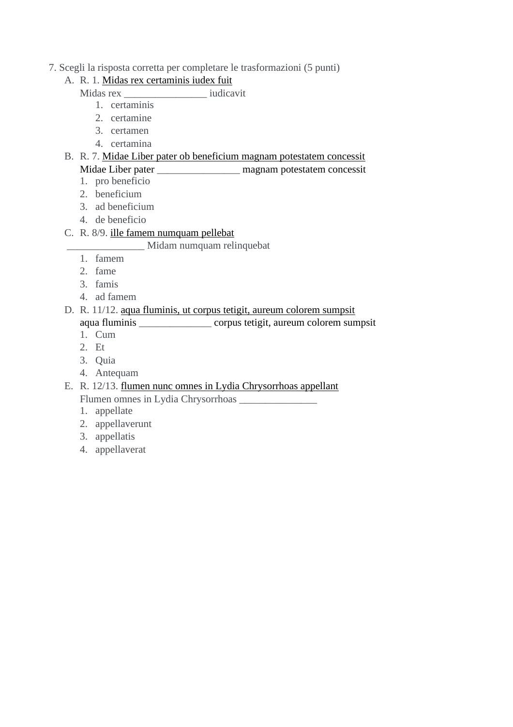#### 7. Scegli la risposta corretta per completare le trasformazioni (5 punti)

## A. R. 1. Midas rex certaminis iudex fuit

Midas rex iudicavit

- 1. certaminis
- 2. certamine
- 3. certamen
- 4. certamina

## B. R. 7. Midae Liber pater ob beneficium magnam potestatem concessit

## Midae Liber pater \_\_\_\_\_\_\_\_\_\_\_\_\_\_\_\_ magnam potestatem concessit

- 1. pro beneficio
- 2. beneficium
- 3. ad beneficium
- 4. de beneficio

## C. R. 8/9. ille famem numquam pellebat

#### \_\_\_\_\_\_\_\_\_\_\_\_\_\_\_ Midam numquam relinquebat

- 1. famem
- 2. fame
- 3. famis
- 4. ad famem

## D. R. 11/12. aqua fluminis, ut corpus tetigit, aureum colorem sumpsit aqua fluminis \_\_\_\_\_\_\_\_\_\_\_\_\_\_ corpus tetigit, aureum colorem sumpsit

- 1. Cum
- 2. Et
- 3. Quia
- 4. Antequam
- E. R. 12/13. flumen nunc omnes in Lydia Chrysorrhoas appellant Flumen omnes in Lydia Chrysorrhoas \_\_\_\_\_\_\_\_\_\_\_\_\_\_\_
	- 1. appellate
	- 2. appellaverunt
	- 3. appellatis
	- 4. appellaverat